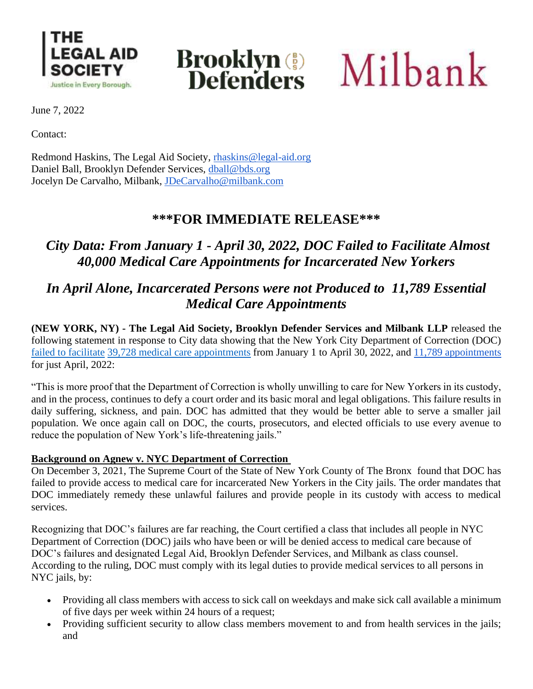



**Brooklyn**<sup>(5)</sup> Milbank

June 7, 2022

Contact:

Redmond Haskins, The Legal Aid Society, [rhaskins@legal-aid.org](mailto:rhaskins@legal-aid.org) Daniel Ball, Brooklyn Defender Services, [dball@bds.org](mailto:dball@bds.org) Jocelyn De Carvalho, Milbank, [JDeCarvalho@milbank.com](mailto:JDeCarvalho@milbank.com)

### **\*\*\*FOR IMMEDIATE RELEASE\*\*\***

# *City Data: From January 1 - April 30, 2022, DOC Failed to Facilitate Almost 40,000 Medical Care Appointments for Incarcerated New Yorkers*

## *In April Alone, Incarcerated Persons were not Produced to 11,789 Essential Medical Care Appointments*

**(NEW YORK, NY) - The Legal Aid Society, Brooklyn Defender Services and Milbank LLP** released the following statement in response to City data showing that the New York City Department of Correction (DOC) [failed to facilitate](https://gothamist.com/news/more-rikers-detainees-missing-medical-appointments-despite-reform-efforts) [39,728 medical care appointments](https://www1.nyc.gov/site/doc/about/monthly-medical-reports.page) from January 1 to April 30, 2022, and [11,789 appointments](https://www1.nyc.gov/assets/doc/downloads/pdf/Medical_Non_Production_March_2022.pdf) for just April, 2022:

"This is more proof that the Department of Correction is wholly unwilling to care for New Yorkers in its custody, and in the process, continues to defy a court order and its basic moral and legal obligations. This failure results in daily suffering, sickness, and pain. DOC has admitted that they would be better able to serve a smaller jail population. We once again call on DOC, the courts, prosecutors, and elected officials to use every avenue to reduce the population of New York's life-threatening jails."

#### **Background on Agnew v. NYC Department of Correction**

On December 3, 2021, The Supreme Court of the State of New York County of The Bronx found that DOC has failed to provide access to medical care for incarcerated New Yorkers in the City jails. The order mandates that DOC immediately remedy these unlawful failures and provide people in its custody with access to medical services.

Recognizing that DOC's failures are far reaching, the Court certified a class that includes all people in NYC Department of Correction (DOC) jails who have been or will be denied access to medical care because of DOC's failures and designated Legal Aid, Brooklyn Defender Services, and Milbank as class counsel. According to the ruling, DOC must comply with its legal duties to provide medical services to all persons in NYC jails, by:

- Providing all class members with access to sick call on weekdays and make sick call available a minimum of five days per week within 24 hours of a request;
- Providing sufficient security to allow class members movement to and from health services in the jails; and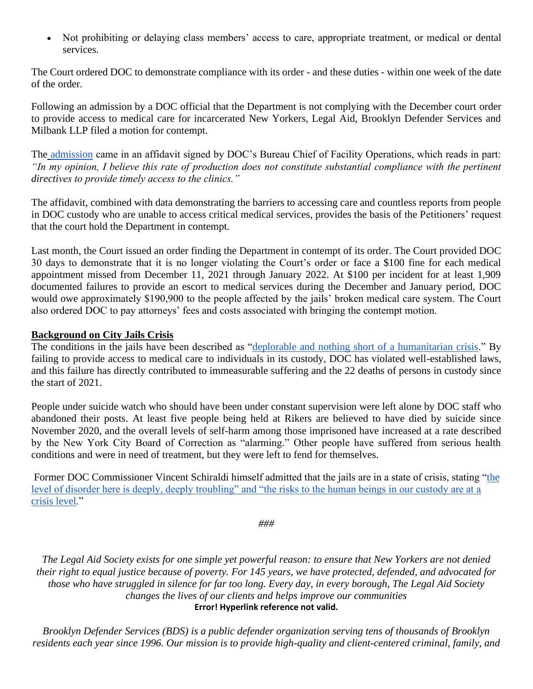• Not prohibiting or delaying class members' access to care, appropriate treatment, or medical or dental services.

The Court ordered DOC to demonstrate compliance with its order - and these duties - within one week of the date of the order.

Following an admission by a DOC official that the Department is not complying with the December court order to provide access to medical care for incarcerated New Yorkers, Legal Aid, Brooklyn Defender Services and Milbank LLP filed a motion for contempt.

The [admission](https://legalaidnyc.org/wp-content/uploads/2022/01/Affidavit-of-Chief-Pressley-Agnew-et-al-v-DOC-813431.2021E.pdf) came in an affidavit signed by DOC's Bureau Chief of Facility Operations, which reads in part: *"In my opinion, I believe this rate of production does not constitute substantial compliance with the pertinent directives to provide timely access to the clinics."*

The affidavit, combined with data demonstrating the barriers to accessing care and countless reports from people in DOC custody who are unable to access critical medical services, provides the basis of the Petitioners' request that the court hold the Department in contempt.

Last month, the Court issued an order finding the Department in contempt of its order. The Court provided DOC 30 days to demonstrate that it is no longer violating the Court's order or face a \$100 fine for each medical appointment missed from December 11, 2021 through January 2022. At \$100 per incident for at least 1,909 documented failures to provide an escort to medical services during the December and January period, DOC would owe approximately \$190,900 to the people affected by the jails' broken medical care system. The Court also ordered DOC to pay attorneys' fees and costs associated with bringing the contempt motion.

#### **Background on City Jails Crisis**

The conditions in the jails have been described as ["deplorable and nothing short of a humanitarian crisis.](https://www.nbcnewyork.com/news/local/rikers-monitor-warns-of-pervasive-disorder-and-chaos-and-calls-for-outside-help/3290200/)" By failing to provide access to medical care to individuals in its custody, DOC has violated well-established laws, and this failure has directly contributed to immeasurable suffering and the 22 deaths of persons in custody since the start of 2021.

People under suicide watch who should have been under constant supervision were left alone by DOC staff who abandoned their posts. At least five people being held at Rikers are believed to have died by suicide since November 2020, and the overall levels of self-harm among those imprisoned have increased at a rate described by the New York City Board of Correction as "alarming." Other people have suffered from serious health conditions and were in need of treatment, but they were left to fend for themselves.

Former DOC Commissioner Vincent Schiraldi himself admitted that the jails are in a state of crisis, stating ["the](https://legalaidnyc.org/wp-content/uploads/2021/12/Letter-from-DOC-Commissioner-re-COVID-19-in-City-jails.pdf)  [level of disorder here is deeply, deeply troubling" and "the risks to the human beings in our custody are at a](https://legalaidnyc.org/wp-content/uploads/2021/12/Letter-from-DOC-Commissioner-re-COVID-19-in-City-jails.pdf)  [crisis level.](https://legalaidnyc.org/wp-content/uploads/2021/12/Letter-from-DOC-Commissioner-re-COVID-19-in-City-jails.pdf)"

*###*

*The Legal Aid Society exists for one simple yet powerful reason: to ensure that New Yorkers are not denied their right to equal justice because of poverty. For 145 years, we have protected, defended, and advocated for those who have struggled in silence for far too long. Every day, in every borough, The Legal Aid Society changes the lives of our clients and helps improve our communities* **Error! Hyperlink reference not valid.**

*Brooklyn Defender Services (BDS) is a public defender organization serving tens of thousands of Brooklyn residents each year since 1996. Our mission is to provide high-quality and client-centered criminal, family, and*